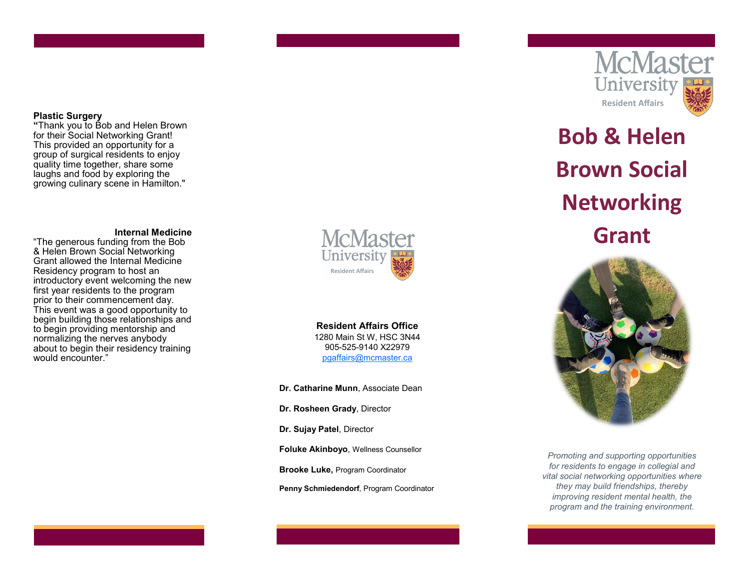### **Plastic Surgery**

**"**Thank you to Bob and Helen Brown for their Social Networking Grant! This provided an opportunity for a group of surgical residents to enjoy quality time together, share some laughs and food by exploring the growing culinary scene in Hamilton."

### **Internal Medicine**

"The generous funding from the Bob & Helen Brown Social Networking Grant allowed the Internal Medicine Residency program to host an introductory event welcoming the new first year residents to the program prior to their commencement day. This event was a good opportunity to begin building those relationships and to begin providing mentorship and normalizing the nerves anybody about to begin their residency training would encounter."



**Resident Affairs Office** 1280 Main St W, HSC 3N44 905 -525 -9140 X22979 [pgaffairs@mcmaster.ca](mailto:pgaffairs@mcmaster.ca)

**Dr. Catharine Munn**, Associate Dean

**Dr. Rosheen Grady**, Director

**Dr. Sujay Patel**, Director

**Foluke Akinboyo**, Wellness Counsellor

**Brooke Luke,** Program Coordinator

**Penny Schmiedendorf**, Program Coordinator



# **Bob & Helen Brown Social Networking Grant**



*Promoting and supporting opportunities for residents to engage in collegial and vital social networking opportunities where they may build friendships, thereby improving resident mental health, the program and the training environment.*